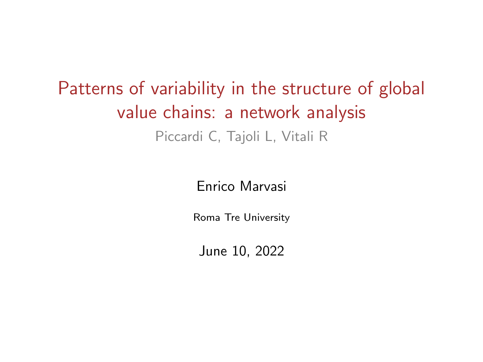# Patterns of variability in the structure of global value chains: a network analysis Piccardi C, Tajoli L, Vitali R

#### Enrico Marvasi

Roma Tre University

June 10, 2022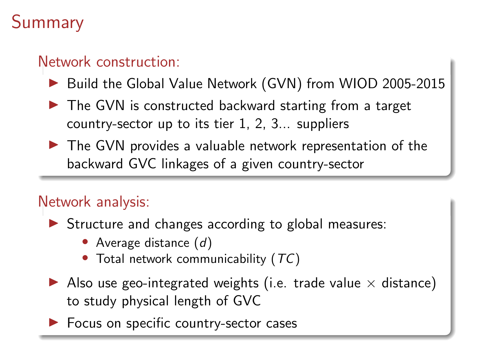# Summary

#### Network construction:

- ▶ Build the Global Value Network (GVN) from WIOD 2005-2015
- ▶ The GVN is constructed backward starting from a target country-sector up to its tier 1, 2, 3... suppliers
- ▶ The GVN provides a valuable network representation of the backward GVC linkages of a given country-sector

#### Network analysis:

- ▶ Structure and changes according to global measures:
	- Average distance  $(d)$
	- Total network communicability  $(TC)$
- $\blacktriangleright$  Also use geo-integrated weights (i.e. trade value  $\times$  distance) to study physical length of GVC
- ▶ Focus on specific country-sector cases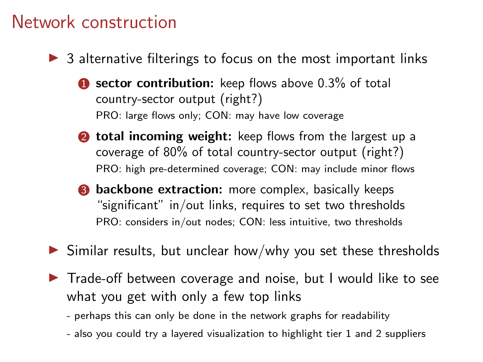#### Network construction

- $\triangleright$  3 alternative filterings to focus on the most important links
	- $\bullet$  sector contribution: keep flows above 0.3% of total country-sector output (right?) PRO: large flows only; CON: may have low coverage
	- **2** total incoming weight: keep flows from the largest up a coverage of 80% of total country-sector output (right?) PRO: high pre-determined coverage; CON: may include minor flows
	- **3** backbone extraction: more complex, basically keeps "significant" in/out links, requires to set two thresholds PRO: considers in/out nodes; CON: less intuitive, two thresholds
- $\triangleright$  Similar results, but unclear how/why you set these thresholds
- ▶ Trade-off between coverage and noise, but I would like to see what you get with only a few top links
	- perhaps this can only be done in the network graphs for readability
	- also you could try a layered visualization to highlight tier 1 and 2 suppliers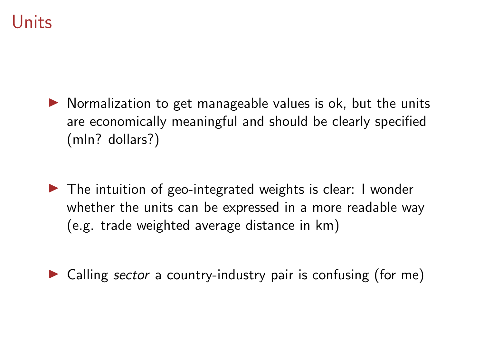# Units

- $\triangleright$  Normalization to get manageable values is ok, but the units are economically meaningful and should be clearly specified (mln? dollars?)
- $\triangleright$  The intuition of geo-integrated weights is clear: I wonder whether the units can be expressed in a more readable way (e.g. trade weighted average distance in km)
- ▶ Calling *sector* a country-industry pair is confusing (for me)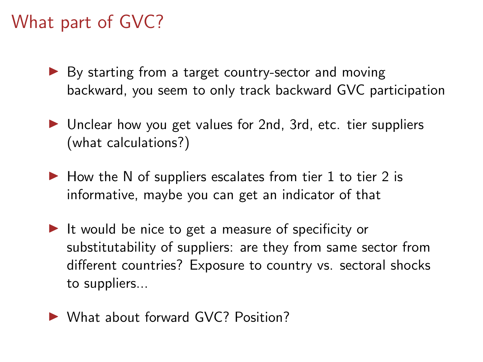# What part of GVC?

- ▶ By starting from a target country-sector and moving backward, you seem to only track backward GVC participation
- ▶ Unclear how you get values for 2nd, 3rd, etc. tier suppliers (what calculations?)
- $\blacktriangleright$  How the N of suppliers escalates from tier 1 to tier 2 is informative, maybe you can get an indicator of that
- ▶ It would be nice to get a measure of specificity or substitutability of suppliers: are they from same sector from different countries? Exposure to country vs. sectoral shocks to suppliers...
- ▶ What about forward GVC? Position?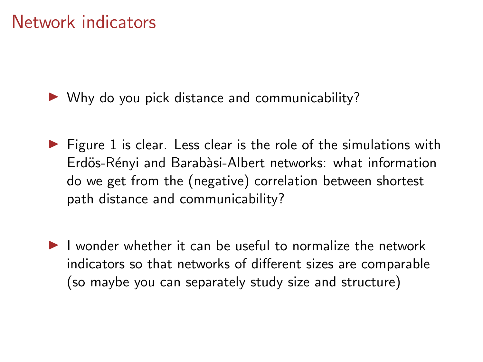### Network indicators

 $\triangleright$  Why do you pick distance and communicability?

- $\triangleright$  Figure 1 is clear. Less clear is the role of the simulations with Erdös-Rényi and Barabàsi-Albert networks: what information do we get from the (negative) correlation between shortest path distance and communicability?
- ▶ I wonder whether it can be useful to normalize the network indicators so that networks of different sizes are comparable (so maybe you can separately study size and structure)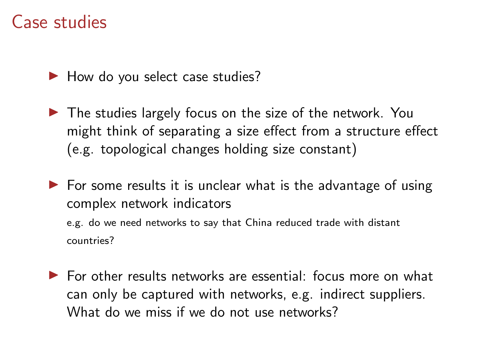#### Case studies

▶ How do you select case studies?

▶ The studies largely focus on the size of the network. You might think of separating a size effect from a structure effect (e.g. topological changes holding size constant)

 $\triangleright$  For some results it is unclear what is the advantage of using complex network indicators e.g. do we need networks to say that China reduced trade with distant countries?

 $\triangleright$  For other results networks are essential: focus more on what can only be captured with networks, e.g. indirect suppliers. What do we miss if we do not use networks?